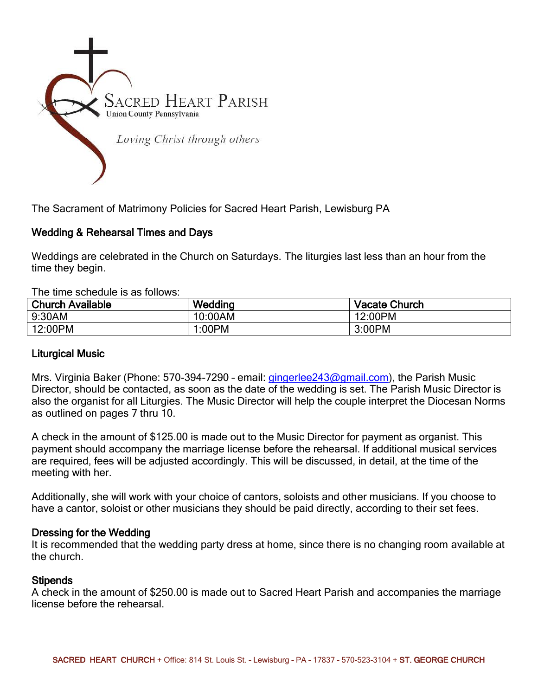

The Sacrament of Matrimony Policies for Sacred Heart Parish, Lewisburg PA

## Wedding & Rehearsal Times and Days

Weddings are celebrated in the Church on Saturdays. The liturgies last less than an hour from the time they begin.

The time schedule is as follows:

| <b>Church Available</b> | Wedding | <b>Vacate Church</b> |
|-------------------------|---------|----------------------|
| 9:30AM                  | 10:00AM | 12:00PM              |
| 12:00PM                 | 1:00PM  | 3:00PM               |

## Liturgical Music

Mrs. Virginia Baker (Phone: 570-394-7290 - email: *gingerlee243@gmail.com*), the Parish Music Director, should be contacted, as soon as the date of the wedding is set. The Parish Music Director is also the organist for all Liturgies. The Music Director will help the couple interpret the Diocesan Norms as outlined on pages 7 thru 10.

A check in the amount of \$125.00 is made out to the Music Director for payment as organist. This payment should accompany the marriage license before the rehearsal. If additional musical services are required, fees will be adjusted accordingly. This will be discussed, in detail, at the time of the meeting with her.

Additionally, she will work with your choice of cantors, soloists and other musicians. If you choose to have a cantor, soloist or other musicians they should be paid directly, according to their set fees.

## Dressing for the Wedding

It is recommended that the wedding party dress at home, since there is no changing room available at the church.

### **Stipends**

A check in the amount of \$250.00 is made out to Sacred Heart Parish and accompanies the marriage license before the rehearsal.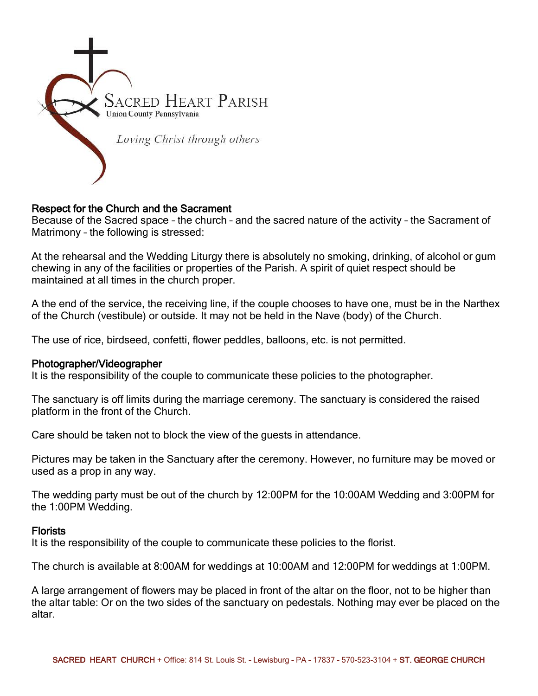

## Respect for the Church and the Sacrament

Because of the Sacred space – the church – and the sacred nature of the activity – the Sacrament of Matrimony – the following is stressed:

At the rehearsal and the Wedding Liturgy there is absolutely no smoking, drinking, of alcohol or gum chewing in any of the facilities or properties of the Parish. A spirit of quiet respect should be maintained at all times in the church proper.

A the end of the service, the receiving line, if the couple chooses to have one, must be in the Narthex of the Church (vestibule) or outside. It may not be held in the Nave (body) of the Church.

The use of rice, birdseed, confetti, flower peddles, balloons, etc. is not permitted.

### Photographer/Videographer

It is the responsibility of the couple to communicate these policies to the photographer.

The sanctuary is off limits during the marriage ceremony. The sanctuary is considered the raised platform in the front of the Church.

Care should be taken not to block the view of the guests in attendance.

Pictures may be taken in the Sanctuary after the ceremony. However, no furniture may be moved or used as a prop in any way.

The wedding party must be out of the church by 12:00PM for the 10:00AM Wedding and 3:00PM for the 1:00PM Wedding.

### **Florists**

It is the responsibility of the couple to communicate these policies to the florist.

The church is available at 8:00AM for weddings at 10:00AM and 12:00PM for weddings at 1:00PM.

A large arrangement of flowers may be placed in front of the altar on the floor, not to be higher than the altar table: Or on the two sides of the sanctuary on pedestals. Nothing may ever be placed on the altar.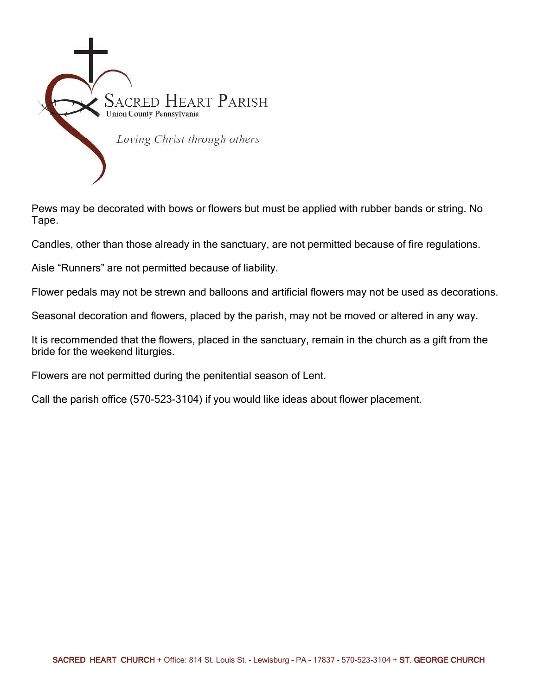

Pews may be decorated with bows or flowers but must be applied with rubber bands or string. No Tape.

Candles, other than those already in the sanctuary, are not permitted because of fire regulations.

Aisle "Runners" are not permitted because of liability.

Flower pedals may not be strewn and balloons and artificial flowers may not be used as decorations.

Seasonal decoration and flowers, placed by the parish, may not be moved or altered in any way.

It is recommended that the flowers, placed in the sanctuary, remain in the church as a gift from the bride for the weekend liturgies.

Flowers are not permitted during the penitential season of Lent.

Call the parish office (570-523-3104) if you would like ideas about flower placement.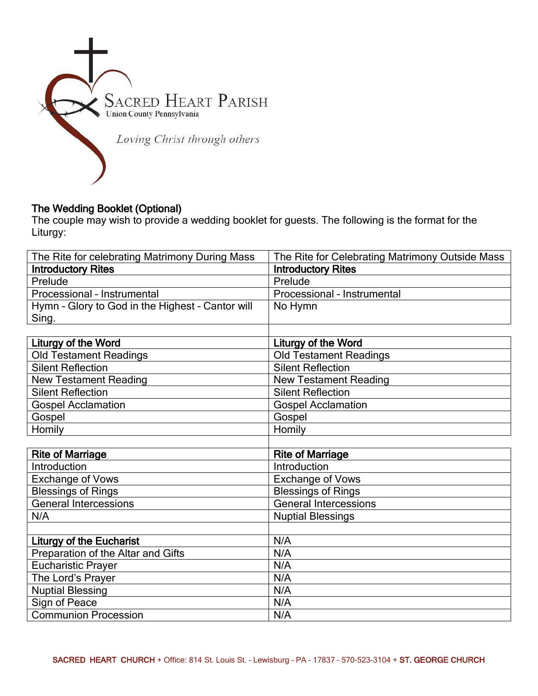

# The Wedding Booklet (Optional)

The couple may wish to provide a wedding booklet for guests. The following is the format for the Liturgy:

| The Rite for celebrating Matrimony During Mass   | The Rite for Celebrating Matrimony Outside Mass |
|--------------------------------------------------|-------------------------------------------------|
| <b>Introductory Rites</b>                        | <b>Introductory Rites</b>                       |
| Prelude                                          | Prelude                                         |
| Processional - Instrumental                      | Processional - Instrumental                     |
| Hymn - Glory to God in the Highest - Cantor will | No Hymn                                         |
| Sing.                                            |                                                 |
|                                                  |                                                 |
| <b>Liturgy of the Word</b>                       | Liturgy of the Word                             |
| <b>Old Testament Readings</b>                    | <b>Old Testament Readings</b>                   |
| <b>Silent Reflection</b>                         | <b>Silent Reflection</b>                        |
| <b>New Testament Reading</b>                     | <b>New Testament Reading</b>                    |
| <b>Silent Reflection</b>                         | <b>Silent Reflection</b>                        |
| <b>Gospel Acclamation</b>                        | <b>Gospel Acclamation</b>                       |
| Gospel                                           | Gospel                                          |
| Homily                                           | Homily                                          |
|                                                  |                                                 |
| <b>Rite of Marriage</b>                          | <b>Rite of Marriage</b>                         |
| Introduction                                     | Introduction                                    |
| <b>Exchange of Vows</b>                          | Exchange of Vows                                |
| <b>Blessings of Rings</b>                        | <b>Blessings of Rings</b>                       |
| <b>General Intercessions</b>                     | <b>General Intercessions</b>                    |
| N/A                                              | <b>Nuptial Blessings</b>                        |
|                                                  |                                                 |
| <b>Liturgy of the Eucharist</b>                  | N/A                                             |
| Preparation of the Altar and Gifts               | N/A                                             |
| <b>Eucharistic Prayer</b>                        | N/A                                             |
| The Lord's Prayer                                | N/A                                             |
| <b>Nuptial Blessing</b>                          | N/A                                             |
| Sign of Peace                                    | N/A                                             |
| <b>Communion Procession</b>                      | N/A                                             |